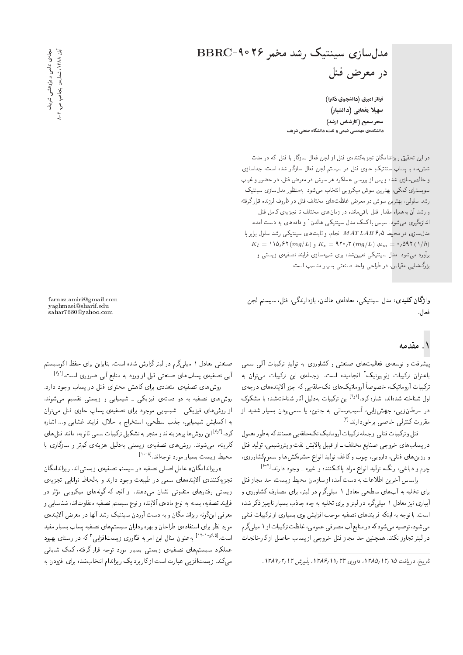# مدلسازی سینتیک رشد مخمر ۲۶°C BBRC در معرض فنل

فرناز امیری (دانشجوی دکترا) سهیلا یغمایی (دانشیار) سحر سمیع (کارشناس ارشد) دانشکدهی مهندسی شیمی و نفت، دانشگاه صنعتی شریف

دراین تحقیق ریزاندامگان تجزیهکنندهی فنل از لجن فعال سازگار با فنل، که در مدت شش،ماه با پساب سنتتیکِ حاوی فنل در سیستم لجن فعال سازگار شده است، جداسازی و خالصساری شده و پس از بررسی عملکرد هر سوش در معرض فنل، در حضور و غیاب سوبسترای کمکی، بهترین سوش میکروبی انتخاب می شود. بهمنظور مدل سازی سینتیک رشد سلولی، بهترین سوش در معرض غلظتهای مختلف فنل در ظروف لرزنده قرار گرفته و رشد آن به همراه مقدار فنل باقی مانده در زمان های مختلف تا تجزیهی کامل فنل اندازهگیری میشود. سپس باکمک مدل سینتیکی هالدن' و دادههای به دست آمده، مدل سازی در محیط MATLAB ۶٫۵ انجام، و ثابت های سینتیکی رشد سلول برابر با  $K_I = \mathcal{N} \mathfrak{d}_I \mathfrak{F} \left( m g / L \right)$ ر ( $K_s = \mathcal{N} \mathfrak{F} \left( m g / L \right) \mathfrak{d}_m = \mathfrak{d}_I \mathfrak{F} \left( \mathcal{N} / h \right)$ برآورد می شود. مدل سینتیکی تعیین شده برای شبیهسازی فرایند تصفیهی زیستی و بزرگ نمایی مقیاس، در طراحی واحد صنعتی بسیار مناسب است.

وا**ژگان کلیدی**: مدل سینتیکی، معادلهی هالدن، بازدارندگی، فنل، سیستم لجن فعال.

### ۱. مقدمه

پیشرفت و توسعه،ی فعالیتهای صنعتی و کشاورزی به تولیدِ ترکیبات آلمی سمی باعنوان ترکیبات زنوبیوتیک آ انجامیده است. ازجملهی این ترکیبات می توان به ترکیبات آروماتیک، خصوصاً آروماتیکهای تکحلقهیی که جزو آلایندههای درجهی اول شناخته شدهاند، اشاره كرد.<sup>[۱٫۱]</sup> این تركیبات بهدلیل آثار شناختهشده یا مشكوك در سرطانزایی، جهشiایی، آسیب,رسانی به جنین، یا سمی,و<mark>دن</mark> بسیار شدید از مقررات كنترلى خاصى برخوردارند. [٢]

فنل و ترکیبات فنلی ازجمله ترکیبات آروماتیک تکحلقه یی هستند که بهطور معمول در پسابهای خروجی صنایع مختلف ـ از قبیل پالایش نفت و پتروشیمی، تولید فنل و رزین های فنلی، دارویی، چوب و کاغذ، تولید انواع حشرهکش ها و سمومکشاورزی، چرم و دباغی، رنگ، تولید انواع مواد پاککننده و غیره ــ وجود دارند.<sup>[۶-۴]</sup>

براساس آخرین اطلاعات به دست آمده از سازمان محیط زیست، حد مجاز فنل برای تخلیه به آبهای سطحی معادل ۱ میلیگرم در لیتر، برای مصارف کشاورزی و آبیاری نیز معادل ۱ میلهگرم در لیترو برای تخلیه به چاه جاذب بسیار ناچیز ذکر شده است. با توجه به اینکه فرایندهای تصفیه موجب افزایش بوی بسیاری از ترکیبات فنلمی می شود، توصیه می شود که در منابع آب مصرفی عمومی، غلظت ترکیبات از ۱ میلی گرم در لیتر تجاوز نکند. همچنین حد مجاز فنل خروجی از پساب حاصل از کارخانجات

farnaz.amiri@gmail.com yaghmaei@sharif.edu<br>sahar7680@yahoo.com

صنعتی معادل ۱ میلم گرم در لیترگزارش شده است. بنابراین برای حفظ اکوسیستم آبی تصفیهی پسابهای صنعتی قبل از ورود به منابع آبی ضروری است.<sup>[۳٫۱</sup>]

روشهای تصفیهی متعددی برای کاهش محتوای فنل در پساب وجود دارد. روشهای تصفیه به دو دستهی فیزیکی ـ شیمیایی و زیستی تقسیم میشوند. از روشهای فیزیکی ـ شیمیایی موجود برای تصفیهی پساب حاوی فنل می,توان به اکسایش شیمیایی، جذب سطحی، استخراج با حلال، فرایند غشایی و… اشاره کرد.<sup>[۵٫۲]</sup> این روش ها پرهزینهاند و منجر به تشکیل ترکیبات سمی ثانویه، مانند فنل های کلرینه، میشوند. روش۱های تصفیهی زیستی بهدلیل هزینهی کم تر و سازگاری با محبط زيست بسيار مورد توجهاند. [٨- ١٠]

«ریزاندامگان» عامل اصلی تصفیه در سیستم تصفیهی زیستی اند. ریزاندامگان تجزيهكنندهى ألايندههاى سمى در طبيعت وجود دارند و به لحاظ توانايي تجزيهى زیستی رفتارهای متفاوتی نشان میدهند. از آنجا که گونههای میکروبی مؤثر در فرايند تصفيه، بسته به نوع مادهى ألاينده و نوع سيستم تصفيه متفاوتاند، شناسايي و معرفی اینگونه ریزاندامگان و به دست آوردن سینتیک رشد آنها در معرض آلاینده، مورد نظر برای استفادهی طراحان و بهرهبرداران سیستم های تصفیه پساب بسیار مفید است.<sup>[۱۳-۱۰</sup>٬۰<sup>۶</sup>۰۵] بهعنوان مثال این امر به فنّاوری زیستافزایی <sup>۳</sup> که در راستای بهبود عملکرد سیستمهای تصفیهی زیستی بسیار مورد توجه قرار گرفته، کمک شایانی می کند. زیست افزایی عبارت است از کار برد یک ریزاندام انتخاب شده برای افزودن به

تاريخ: دريافت ١٣/١٥/ ١٣٨٥، داوري ١٣/٢١/ ١٣٨٤، يذيرش ١٣٨٧/٣/١٢.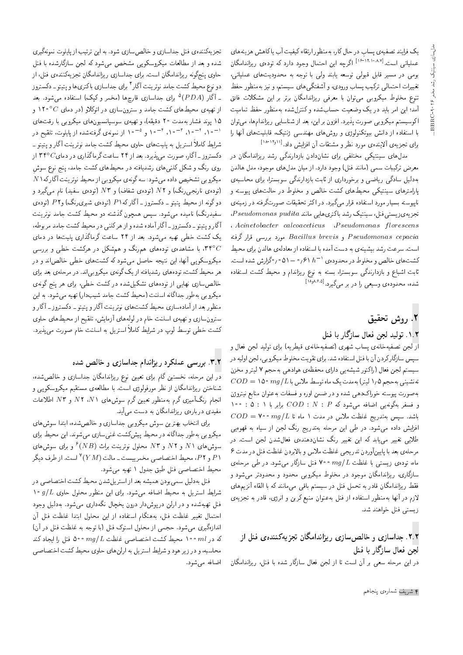یک فرایند تصفیهی پسابِ در حال کار، بهمنظور ارتقاء کیفیت آب یا کاهش هزینههای<br>سایات بایدهای ۱۸۸۷–۱۶۰ اگر عملیاتی است.<sup>[۱۶-۱۴،۱۰</sup>۸۷] اگرچه این احتمال وجود دارد که تودهی ریزاندامگان<br>مقابله استفاده و استفاده استفاده استفاده استفاده بومی در مسیر قابل قبولی توسعه یابند ولی با توجه به محدودیتهای عملیاتی، تغییرات احتمالی ترکیب پساب ورودی، و آشفتگی های سیستم، و نیز بهمنظور حفظ تنوع مخلوط میکروبی می توان با معرفی ریزاندامگان برتر بر این مشکلات فائق آمد؛ این امر باید در یک وضعیت حسابشده و کنترل شده بهمنظور حفظ تمامیت اكوسيستم ميكروبي صورت پذيرد. افزون براين، بعد از شناسايي ريزاندامها، مي توان با استفاده از دانش بیوتکنولوژی و روش های مهندسی ژنتیک، قابلیت های آنها را برای تجزیهی آلایندهی مورد نظر و مشتقات آن افزایش داد.<sup>[۱۹</sup>۰<sup>۱۸|۱</sup>۰۰]<br>میلمان این مورد میلی بازی این بازی با این مورد میلی

مدل های سینتیکی مختلفی برای نشاندادن بازدارندگی رشد ریزاندامگان در معرض ترکیبات سمی (مانند فنل) وجود دارد. از میان مدل های موجود، مدل هالدن به دلیل سادگی ریاضی و برخورداری از ثابت بازدارندگی سوبسترا، برای محاسبهی پارامترهای سینتیکی محیطهای کشت خالص و مخلوط در حالتهای پیوسته و ناپیوسته بسیار مورد استفاده قرار میگیرد. در اکثر تحقیقات صورتگرفته در زمینهی تجزیه ی زیستی فنل، سینتیک رشد باکتری هایی مانند Pseudomonas pudita.  $\ldots$  Acinetobacter calcoaceticus  $\ldots$  P seudomonas florescens xDiQo Q=Qk |UQQ@ OQwt Bacillus brevis w P seudomonas cepacia است. سرعت رشد بیشینهی به دست آمده با استفاده از معادلهی هالدن برای محیط "CU= xOW VQ=Ro0 0510 61 <sup>h</sup> <sup>1</sup> |xOwOLt QO \wrNt wXr=N |=yCWm نابت اشباع و بازدارندگی سوبسترا، بسته به نوع ریزاندام و محیط کشت استفاده شده، محدودهی وسیعی را در بر میگیرد.<sup>[۱۸</sup>٬۸۶۰۵]<br>.

## ۲. روش تحقیق

#### ۰۱.۲ تولید لجن فعال سازگار با فنل

آر لجن تصفيهخانه ي پساب شهري (تصفيهخانهي قيطريه) براي توليد لجن فعال و سپس سازگاركردن آن با فنل استفاده شد. براي تقويت مخلوط ميكروبي، لجن اوليه در سیستم لجن فعال (راکتور شیشهیی دارای محفظهی هوادهی بهحجم ۷ لیتر و مخزن  $COD = 10^{\circ}$  mg/L تەنشىنى بەحجم 10 ليتر) بەمدت يک ماه توسط ملاس با به صورت پیوسته خوراکدهی شده و در ضمن اوره و فسفات به عنوان منابع نیتروژن 100 : 6 : 1 بوابر به اخرافه میشود که  $D: N: P$  برابر با ۱ : ۱  $COD = \texttt{V} \cdot m g/L$  باشد. سپس بهتدریج غلظت ملاس در مدت ۱ ماه تا افزایش داده می شود. در طی این مرحله بهتدریج رنگ لجن از سیاه به قهوهیی طلای<sub>ه،</sub> تغییر می،یابد که این تغییر رنگ نشاندهندهی فعال**شدن لجن است. د**ر مرحلهي بعد با پايين أوردن تدريجي غلظت ملاس و بالابردن غلظت فنل در مدت ۶ ماه، تودهى زيستى با غلظت  $mg/L$  • م $\log L$  قنل سازگار مىشود. در طى مرحلهى سازگاری، ری<sub>ل</sub>اندامگان موجود در مخلوط میکروبی محدود و محدودتر می شود و فقط ریزاندامگان قادر به تحمل فنل در سیستم باقی میمانند که با القاء آنزیمهای لازم در آنها بهمنظور استفاده از فنل بهعنوان منبع کربن و انرژی، قادر به تجزیهی زيستبي فنل خواهند شد.

### ۲.۲. جداسازی و خالص سازی ریزاندامگان تجزیهکنندهی فنل از لجن فعال سازگار با فنل

در این مرحله سعی بر آن است تا از لجن فعال سازگار شده با فنل، ریزاندامگان

تجزیهکنندهی فنل جداسازی و خالص سازی شود. به این ترتیب از پایلوت نمونهگیری شده و بعد از مطالعات میکروسکویی مشخص می شود که لجن سازگارشده با فنل حاوی پنجگونه ریزاندامگان است. برای جداسازی ریزاندامگان تجزیهکنندهی فنل، از دو نوع محیط کشت جامد نوترینت آگار<sup>۴</sup> برای جداسازی باکتری ها و پتیتو ــ دکستروز<br>- آگار (۱۳۵۸–۱۳۶۸) ـ أگار (PDA) <sup>۵</sup> برای جداسازی قارچها (مخمر و کپک) استفاده میشود. بعد<br>ا از تهیهی محیطهای کشت جامد و سترونسازی در اتوکلاو (در دمای  ${}^{\circ}C$ ۲۰ و ۱۵ یوند فشار بهمدت ۲۰ دقیقه)، و تهیهی سوسپانسیونهای میکروبی با رقتهای '−۰۱۰ ' -۰۲ '۰۱۰ ' -۱۰ و °−۱۰ زنونه ی گرفتهشده از پایلوت، تلقیح در<br>منابع این این این مساح این منابع شرایط کاملاً استریل به پلیتهای حاوی محیط کشت جامد نوترینت آگار و پتیتو ـ دکستروز ــ آگار، صورت می پذیرد. بعد از ۲۴ ساعت گرماگذاری در دمای $C$ ۳۴° از روی رنگ و شکل کلنے های رشدیافته در محیط های کشت حامد، پنج نوع سوش  $N$  1 میکروبی تشخیص داده میشود: سه گونه ی میکروبی از محیط نوترینت آگار که وتوده نارنجیرنگ) و N اتوده شفاف) و N اتوده سفید) نام میگیرد و  $N$  $\{x\}$  دوگونه از محیط بتیتو ـ دکستروز ـ آگار که $P$  (توده $P$  ) وایده ی سفیدرنگ) نامیده می٬شود. سپس همچون گذشته دو محیط کشت جامد نوترینت آگار و پتیتو - دکستروز - آگار آماده شده و از هر کلنی در محیط کشت جامد مربوطه، یک کشت خطی تهیه می شود. بعد از ۲۴ ساعت گرماگذاری پلیتها در دمای ۳۴° $C$  با مشاهدهی تودههای همرنگ و همشکل در هرکشت خطی و بررسی میکروسکو یی آنها، این نتیجه حاصل می شود که کشت های خطی خالصاند و در هر محیط کشت، تودههای رشدیافته از یک گونهی میکروبی اند. در مرحلهی بعد برای خالصسازی نهایی از تودههای تشکیلشده درکشت خطی، برای هر پنج گونهی میکروبی بهطور جداگانه اسلنت (محیط کشت جامد شیبدار) تهیه می شود. به این منظور بعد از أمادهسازي محيط كشتهاى نوترينت أگار و يتيتو ــ دكستروز ــ أگار و سترون سازی و تهیهی اسلنت خام در لولههای آزمایش، تلقیح از محیطهای حاوی كشت خطى توسط لوپ در شرايط كاملاً استريل به اسلنت خام صورت مى يذيرد.

#### ۰۳.۲ بورسی عملکرد ریزاندام جداسازی و خالص شده

در این مرحله، نخستین گام برای تعیین نوع ریزاندامگان جداسازی و خالصشده، شناختن ریزاندامگان از نظر مورفولوژی است. با مطالعهی مستقیم میکروسکوپی و انجام رنگآمیزی گرم بهمنظور تعیین گرم سوش های N۲ ، $N$ ۱ و  $N$  اطلاعات مفیدی دربارهی ریزاندامگان به دست میآید.

برای انتخاب بهترین سوش میکروبی جداسازی و خالص شده، ابتدا سوش های میکروبی بهطور جداگانه در محیط پیش کشت غنی سازی می شوند. این محیط برای سوش های ۸۲ و ۸۲ و ۸۳ محلول نوترینت براث (NB) <sup>۶</sup> و برای سوش های<br>ده مردم P و P۲، محیط اختصاصی مخمریست ـ مالت (YM) "است. از طرف دیگر<br>اما این سایت ایران محيط اختصاصي فنل طبق جدول ١ تهيه مي شود.

.<br>- فنل به دلیل سمی بودن همیشه بعد از استریل شدن محیط کشت اختصاصی در 10 g/L ستریل به محیط اضافه می شود. برای این منظور محلول حاوی  $g/L$  ۱۰ فنل تهیهشده و در ارلن در یوشدار درون یخچال نگهداری می شود. بهدلیل وجود احتمال تغيير غلظت فنل، بههنگام استفاده از اين محلول ابتدا غلظت فنل آن اندازهگیری می شود. حجمی از محلول استوک فنل (با توجه به غلظت فنل در آن) که در ا $m$  ۰۰ محیط کشت اختصاصی غلظت  $mg/L$  ۵۰۰ منل را ایجاد کند محاسبه، و در زير هود و شرايط استريل به ارلن هاي حاوي محيط كشت اختصاصي اضافه مى شود.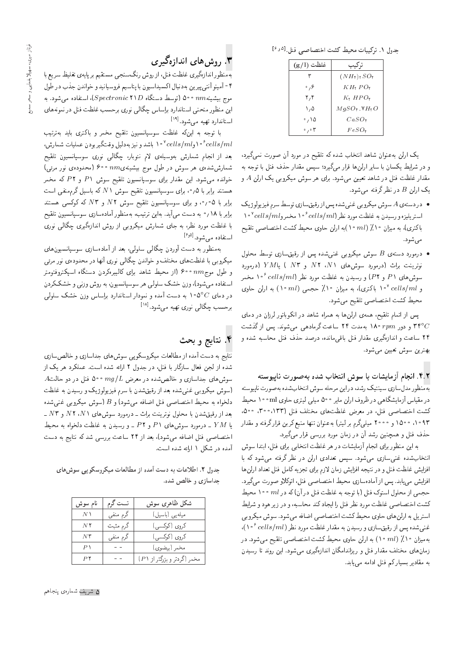حدول ١. تركيبات محيط كشت اختصاصي فنل ا<sup>٥ و ١</sup>٤

| غلظت (g/l)                     | تركيب                               |
|--------------------------------|-------------------------------------|
| ٣                              | $(NHr)$ r $SOr$                     |
| ۶، ه                           | $KH, PO_{\mathfrak{k}}$             |
| ۲٫۴                            | $K_{\mathfrak k} HPO_{\mathfrak k}$ |
| ۰٬۵                            | $M$ q $SO_{\ast}$ , Y $H_{\ast}O$   |
| ۰٬۱۵                           | $CaSO_{\rm F}$                      |
| $\cdot$ , $\cdot$ $\mathsf{r}$ | $FeSO_{\rm F}$                      |

یک ارلن به عنوان شاهد انتخاب شده که تلقیح در مورد آن صورت نمیگیرد، و در شرایط یکسان با سایر ارلن ها قرار مهگیرد؛ سپس مقدار حذف فنل با توجه به مقدار غلظت فنل در شاهد تعیین میشود. برای هر سوش میکروبی یک ارلن A و یک ارلن  $B$  در نظر گرفته میشود.

- در دسته ی A سوش میکروبی غنی شده پس از رقیق سازی توسط سرم فیز یولوژیک استریلیزه و رسیدن به غلظت مورد نظر (cells/ml ° ° ۱ مخمرو $\textit{cells/ml}$  ° ۱ باکتری)، به میزان ۱۰٪ (ml) به ارلن حاوی محیط کشت اختصاصی تلقیح مې شود.
- درمورد دستهى B سوش ميكروبي غنى شده پس از رقيق سازى توسط محلول  $\theta$ نوترینت براث (درمورد سوش۱های ۸۲، ۸۲ و ۲۳ ) یا $YM$  (درمورد سوشهای P۱ و P۲) و رسیدن به غلظت مورد نظر (P۲  $^{\circ}$ ۱۰ مخمر و cells/ml "۱۰ باکتری)، به میزان ۱۰٪ حجمی (۱۰ ۱۰) به ارلن حاوی محيط كشت اختصاصي تلقيح مى شود.

پس از اتمام تلقیح، همهی ارلنها به همراه شاهد در انکوباتور لرزان در دمای و دور ۱۸۰  $rpm$  بهمدت ۲۴ ساعت گرمادهی میشوند. پس از گذشت  $\mathcal{C}$ ۲۴ ساعت و اندازهگیری مقدار فنل باقیمانده، درصد حذف فنل محاسبه شده و بهترين سوش تعيين مي شود.

#### ۴.۲. انجام آزمايشات با سوش انتخاب شده بهصورت ناپيوسته

بهمنظور مدل سازي سينتيك رشد، در اين مرحله سوش انتخاب شده به صورت ناپيوسته در مقیاس آزمایشگاهی در ظروف ارلن مایر ۵۰۰ میلی لیتری حاوی ml ۰۰m محیط كشت اختصاصي فنل، در معرض غلظتهاى مختلف فنل (١٣٣، ٣٠٠، ٥٠٥، ۹۳ ه ۱۵ ه ۱۵۰۰ و ۲۰۰۰ میلهگرم بر لیتر) بهعنوان تنها منبع کربن قرارگرفته و مقدار حذف فنل و همچنین رشد آن در زمان مورد بررسی قرار میگیرد.

به این منظور برای انجام آزمایشات در هر غلظت انتخابی برای فنل، ابتدا سوش انتخابشده غنی سازی می شود. سپس تعدادی ارلن در نظر گرفته می شود که با افزایش غلظت فنل و در نتیجه افزایش زمان لازم برای تجزیه کامل فنل تعداد ارلن ها افزایش می یابد. پس از آمادهسازی محیط اختصاصی فنل، اتوکلاو صورت میگیرد. حجمی از محلول استوک فنل (با توجه به غلظت فنل در آن)که در ml ۱۰۰ محیط كشت اختصاصي غلظت مورد نظر فنل را ايجادكند محاسبه، و در زير هود و شرايط استریل به ارلن های حاوی محیط کشت اختصاصی اضافه می شود. سوش میکروبی غنمي شده پس از رقيق سازي و رسيدن به مقدار غلظت مورد نظر (cells/ml). بهمیزان ۱۰٪ (۱۰ ۱۰) به ارلن حاوی محیط کشت اختصاصی تلقیح میشود. در زمان های مختلف مقدار فنل و ریزاندامگان اندازهگیری میشود. این روند تا رسیدن به مقادیر بسیار کم فنل ادامه می یابد.

## ۳. روش های اندازهگیری

بهمنظور اندازهگیری غلظت فنل، از روش رنگسنجی مستقیم بر پایهی تغلیظ سریع با ۴ - آمینو آنته پیرین به دنبال اکسیداسیون با پتاسیم فروسیانید و خواندن جذب در طول موج بيشينه $\,$  n $\,$  0 ° 0 م (توسط دستگاه  $Spectronic$ )، استفاده می $\,$ شود. به این منظور منحنی استاندارد براساس چگالی نوری برحسب غلظت فنل در نمونههای استاندارد تهیه میشود.<sup>[۱۹]</sup>

با توجه به اینکه غلظت سوسپانسیون تلقیح مخمر و باکتری باید بهترتیب ا وقتگيربودن عمليات شمارش، ١٥ ٪ دايل وقتگيربودن عمليات شمارش، بعد از انجام شمارش بەوسیلەی لام نئوبار، چگالی نوری سوسپانسیون تلقیح شمارششده، هر سوش در طول موج بیشینهیn $m$  ° °۶ (محدوده، نور مرئی) خوانده میشود. این مقدار برای سوسپانسیون تلقیح سوش P۱ و P۲ که مخمر هستند برابر با ۰٫۵٪ برای سوسپانسیون تلقیح سوش *N*۱٪ که باسیل گرم منفی است برابر با ۰٫۰۵ و برای سوسپانسیون تلقیح سوش  $N$ ۲ و  $N$ ۳ که کوکسی هستند برابر با ۱۸/۰ به دست می]ید. بهاین ترتیب، بهمنظور آمادهسازی سوسپانسیون تلقیح با غلظت مورد نظر، به جای شمارش میکروبی از روش اندازهگیری چگالبی نوری استفاده مے شود. <sup>[۱۶</sup>۰

بهمنظور به دست آوردن چگالبی سلولبی، بعد از آمادهسازی سوسپانسیون های میکروبی با غلظتهای مختلف و خواندن چگالی نوری آنها در محدودهی نور مرئی و طول موج $nm$  • ۶۰ (از محیط شاهد برای کالیبرهکردن دستگاه اسپکتروفتومتر استفاده میشود)، وزن خشک سلولی هر سوسپانسیون، به روش وزنبی و خشککردن در دمای ۵°۵ <mark>۱</mark>۰ به دست آمده و نمودار استاندارد براساس وزن خشک سلول<sub>ی</sub> برحسب چگالی نوری تھیه می شود. [۱۸]

### ۴. نتايج و بحث

نتایج به دست آمده از مطالعات میکروسکو یی سوش های جداسازی و خالص سازی شده از لجن فعال سازگار با فنل، در جدول ۲ ارائه شده است. عملکرد هر یک از  $A$ سوشهای جداسازی و خالصشده در معرض  $mg/L$  ۵۰۰ فنل در دو حالت (سوش میکروبی غنبیشده بعد از رقیقشدن با سرم فیزیولوژیک و رسیدن به غلظت دلخواه به محیط اختصاصی فنل اضافه میشود) و B (سوش میکروبی غنیشده بعد از رقیقشدن با محلول نوترینت براث ــ درمورد سوش های ۸۲، ۸۲ و ۸۳ ـ یا  $YM$  ـ درمورد سوشهای ۳۱ و P۲ ـ و رسیدن به غلظت دلخواه به محیط اختصاصی فنل اضافه میشود)، بعد از ۲۴ ساعت بررسی شد که نتایج به دست آمده در شکل ۱ ارائه شده است.

جدول ۲. اطلاعات به دست آمده از مطالعات میکروسکویی سوش های جداسازی و خالص شده.

| نام سوش       | تست گرم   | شكل ظاهرى سوش                |
|---------------|-----------|------------------------------|
| $N \setminus$ | گرم منفيي | میلەیى (باسیل)               |
| $N$ ۲         | گرم مثبت  | کروی (کوکسی)                 |
| $N$ ۳         | گرم منفی  | کروی (کوکسی)                 |
| $P \setminus$ |           | مخمر (بيضوى)                 |
| PY            |           | مخمر (گردتر و بزرگتر از P ۱) |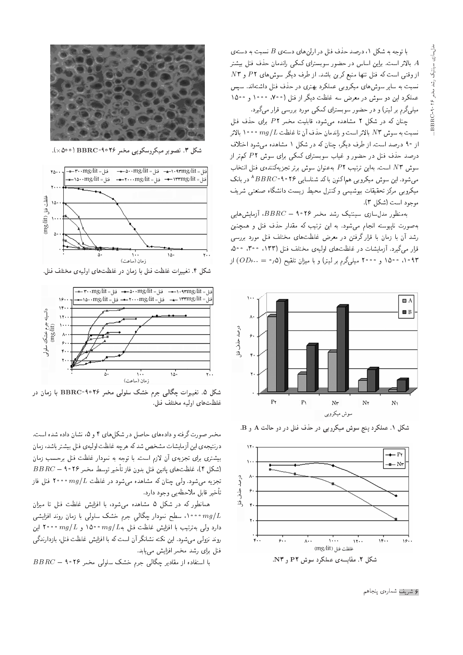با توجه به شکل ۱، درصد حذف فنل در ارلن های دستهی B نسبت به دستهی بالاتر است. براین اساس در حضور سوبسترای کمکمی راندمان حذف فنل بیشتر  $A$  $N$ 5 از وقتی است که فنل تنها منبع کربن باشد. از طرف دیگر سوش های  $P$ ۲ و نسبت به سایر سوشهای میکروبی عملکرد بهتری در حذف فنل داشتهاند. سپس عملکرد این دو سوش در معرض سه غلظت دیگر از فنل (°°۷°، °°°۱۵ و °°۱۵ میلمیگرم بر لیتر) و در حضور سوبسترای کمکمی مورد بررسی قرار میگیرد.

چنان که در شکل ۲ مشاهده میشود، قابلیت مخمر P۲ برای حذف فنل نسبت به سوش N ۳ بالاتر است و راندمان حذف آن تا غلظت  $mg/L$  ۰۰۰ بالاتر از ۹۰ درصد است. از طرف دیگر، چنان که در شکل ۱ مشاهده می شود اختلاف درصد حذف فنل در حضور و غیاب سوبسترای کمکی برای سوش P۲ کم تر از موش N۳ است. بهاین ترتیب P۲ بهعنوان سوش برتر تجزیهکنندهی فنل انتخاب میشود. این سوش میکروبی هم اکنون باکد شناسایی ۲۶ °۹-ABB ^ در بانک<br>م میکروبی مرکز تحقیقات بیوشیمی و کنترل محیط زیست دانشگاه صنعتی شریف موجود است (شکل ۳).

بهمنظور مدل $\omega$ اری سینتیک رشد مخمر ۲۶°۹ ( $BBRC = BB$ ، آزمایش هایی به صورت ناپیوسته انجام میشود. به این ترتیب که مقدار حذف فنل و همچنین رشد أن با زمان با قرار گرفتن در معرض غلظتهای مختلف فنل مورد بررسی قوار میگیرد. آزمایشات در غلظتهای اولیهی مختلف فنل (۱۳۳، ۳۰۰، ۵۰۰، ۰۹۳ ق میلو)گرم بر لیتر) و با میزان تلقیح (۰٫۵ $OD_{\hat{r}^{\ast}}$ ۰۹۳) از



شکل ۱. عملکرد پنج سوش میکروبی در حذف فنل در دو حالت A و B.





شکل ۳. تصویر میکروسکوپی مخمر ۲۶°BBRC (۵۰۰×).



شکل ۴. تغییرات غلظت فنل با زمان در غلظتهای اولیهی مختلف فنل.



شکل ۵. تغییرات چگالبی جرم خشک سلولی مخمر BBRC-۹۰۲۶ با زمان در غلظتهاى اوليه مختلف فنل.

مخمر صورت گرفته و دادههای حاصل در شکلهای ۴ و ۵، نشان داده شده است. درنتيجهي اين آزمايشات مشخص شدكه هرچه غلظت اوليهي فنل بيشتر باشد، زمان بیشتری برای تجزیهی آن لازم است. با توجه به نمودار غلظت فنل برحسب زمان  $BBRC =$ اشکل ۴)، غلظتهای پائین فنل بدون فاز تأخیر توسط مخمر ۲۶ $B \cap R$ تجزیه می شود. ولی حنان که مشاهده می شود در غلظت  $mg/L$  ۲۰۰۰ فنل فاز تأخير قابل ملاحظهيى وجود دارد.

همانطور که در شکل ۵ مشاهده میشود، با افزایش غلظت فنل تا میزان ه ۱۰۰۰، سطح نمودار چگالی جرم خشک سلولی با زمان روند افزایشی  $mg/L$ دارد ولمی بهترتیب با افزایش غلظت فنل به $mg/L$  ۰۵۰۰ و $mg/L$  و ۲۰۰۰ این روند نزولی میشود. این نکته نشانگر آن است که با افزایش غلظت فنل، بازدارندگی فنل برای رشد مخمر افزایش می یابد.

 $BBRC = 100$  با استفاده از مقادیر چگالی جرم خشک سلولی مخمر

۶ شریف شمارهی پنجاهم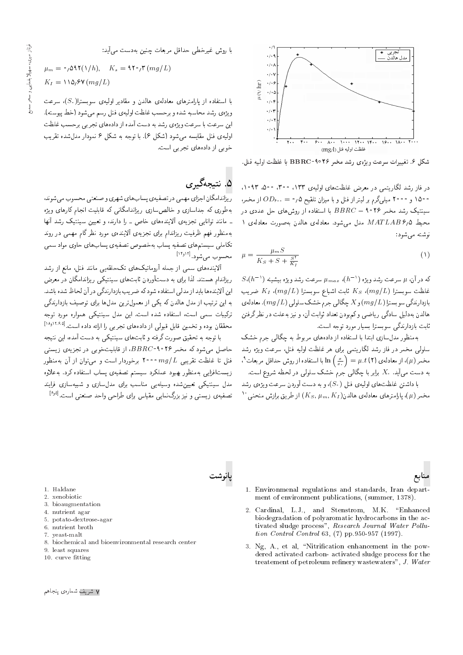

شكل ۶. تغييرات سرعت ويژەى رشد مخمر ۲۶°F BBRC با غلظت اوليه فنل.

در فاز رشد لگاریتمی در معرض غلظتهای اولیهی ۱۳۳ ، ۵۰۰ ، ۵۰۰ ،۱۰۹۳  $\langle OD_{\delta^{(n)}}=O$ ۱۵۰۰ و ۲۰۰۰ میلی $\delta$ رم بر لیتر از فنل و با میزان تلقیح ۵ $\rho$  از مخمر سینتیک رشد مخمر ۲۶ ۹۰ – BBRC با استفاده از روش های حل عددی در 1 محيط 1,4 MATLAB مدل مى شود. معادلهى هالدن بهصورت معادلهى .<br>نوشته می شو**د**:

$$
\mu = \frac{\mu_m S}{K_S + S + \frac{S^{\tau}}{K_I}}\tag{1}
$$

 $S(h^{-1})$ که در آن،  $\mu$  سرعت رشد ویژه  $\mu_{max}(h^{-1})$  سرعت رشد ویژه بیشینه  $\mu(h^{-1})$ غلظت سوبسترا  $R$  ا،  $K_S$  ثابت اشباع سوبسترا  $K_S$  ، فسریب  $K_S$  خریب بازدارندگی سوبسترا ( mg/L) و X چگالی جرم خشک سلولی ( mg/L) . معادلهی هالدن بهدلیل سادگی ریاضی و کمبودن تعداد ثوابت آن، و نیز به علت در نظر گرفتن ٹابت بازدارندگی سویسترا بسیار مورد توجه است.

بهمنظور مدل سازی ابتدا با استفاده از دادههای مربوط به حگال<sub>ی</sub> جرم خشک سلولی مخمر در فاز رشد لگاریتمی برای هر غلظت اولیه فنل، سرعت ویژه رشد ا با استفاده از روش حداقل مربعات<sup>۹</sup> k با<br>مدیر مصابل مطالبان  $=\mu.t$  (۲) از معادله ی $\mu$  )  $\mu=\left( \mu\right)$ به دست می آید.  $X$  برابر با چگالی جرم خشک سلولی در لحظه شروع است.

با داشتن غلظتهای اولیهی فنل  $(S_\cdot)$ ، و به دست آوردن سرعت ویژهی رشد  $^{10}$ مخمر ( $\mu$ )، پارامترهای معادلهی هالدن( $K_S, \mu_m, K_I$ ) از طریق برازش منحنبی

با روش غیرخطی حداقل مربعات چنین بهدست می آید:

$$
\mu_m = \circ \rho \Delta \mathbf{Y} (\mathbf{1}/h), \quad K_s = \mathbf{1} \mathbf{Y} \circ \rho \mathbf{Y} (mg/L)
$$

$$
K_I = \mathbf{1} \mathbf{1} \Delta_I \mathbf{Y} (mg/L)
$$

با استفاده از پارلمترهای معادلهی هالدن و مقادیر اولیهی سوبسترا $(S_\ast)$ ، سرعت ويژهي رشد محاسبه شده و برحسب غلظت اوليهي فنل رسم مي شود (خط پيوسته). این سرعت با سرعت ویژهي رشد به دست آمده از دادههاي تجربي برحسب غلظت اوليه ى فنل مقايسه مى شود (شكل ٤). با توجه به شكل ۶ نمودار مدل شده تقريب خوبی از دادههای تجربی است.

## (). نتىجەگىرى

پانوشت

ریزاندامگان اجزای مهمی در تصفیهی پساب های شهری و صنعتی محسوب میشوند، بهطوری که جداسازی و خالص سازی ریزاندامگانی که قابلیت انجام کارهای ویژه = مانند توانایی تجزیهی آلایندههای خاص = را دارند، و تعیین سینتیک رشد آنها بهمنظور فهم ظرفيت ريزاندام براى تجزيهى ألايندهى مورد نظركام مهمى در روند تکاملی سیستمهای تصفیه پساب بهخصوص تصفیهی پسابهای حاوی مواد سمی محسوب میشود.[<sup>۱۴٫۱۲]</sup><br>آلام

آلایندههای سمی از جمله آروماتیکهای تکحلقهیی مانند فنل، مانع از رشد ریزاندام هستند. لذا برای به دستآوردن ثابتهای سینتیکمی ریزاندامگان در معرض این آلاینده ها باید از مدلی استفاده شودکه ضریب بازدارندگی در آن لحاظ شده باشد. به این ترتیب از مدل هالدن که یکی از معمول ترین مدل ها برای توصیف بازدارندگی ترکیبات سمی است، استفاده شده است. این مدل سینتیکی همواره مورد توجه [18w12'6'5] "CU= xO=O x=Q= =Q |@ QHD |=yxO=O R= |rw@k p@=k u}tND w xOw@ u=kkLt

با توجه به تحقیق صورت گرفته و ثابت های سینتیکی به دست آمده، این نتیجه حاصل میشود که مخمر ۲۶ °F B $R$ ۹ از قابلیتخوبی در تجزیهی زیستی فنل تا غلظت تقریبی  $mg/L$  ۰۰۰ برخوردار است و می $\ddot{}$ وان از آن بهمنظور زيستافزايي بهمنظور بهبود عملكرد سيستم تصفيهى يساب استفاده كرد. بهءلاوه مدل سینتیکی تعیین شده وسیلهیی مناسب برای مدل سازی و شبیهسازی فرایند تصفیهی زیستی و نیز بزرگ $^{[s_1b_2]}$ نمایی مقیاس برای طراحی واحد صنعتی است. $^{[s_1b_2]}$ 



- 1. Environmenal regulations and standards, Iran department of environment publications, (summer, 1378).
- 2. Cardinal, L.J., and Stenstrom, M.K. \Enhanced biodegradation of polyaromatic hydrocarbons in the activated sludge process", Research Journal Water Pollution Control Control 63, (7) pp.950-957 (1997).
- 3. Ng, A., et al, "Nitrification enhancement in the powdered activated carbon- activated sludge process for the treatement of petroleum refinery wastewaters", J. Water

1. Haldane

- 2. xenobiotic
- 3. bioaugmentation
- 4. nutrient agar
- 5. potato-dextrose-agar
- 6. nutrient broth
- 7. yeast-malt
- 8. biochemical and bioenvironmental research center
- 9. least squares
- 10. curve fitting